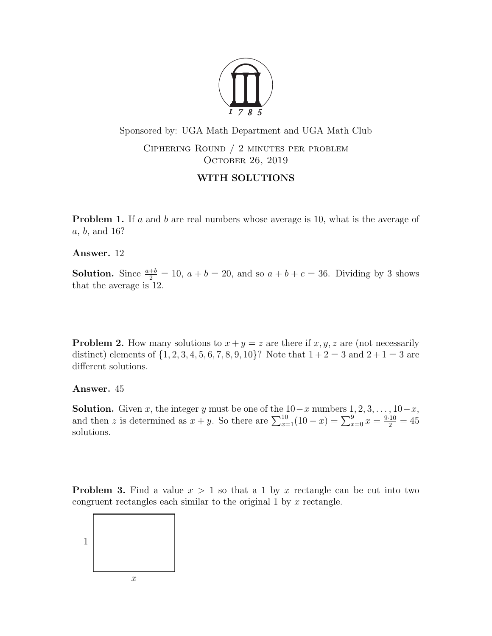

Sponsored by: UGA Math Department and UGA Math Club

Ciphering Round / 2 minutes per problem OCTOBER 26, 2019

## WITH SOLUTIONS

**Problem 1.** If a and b are real numbers whose average is 10, what is the average of a, b, and 16?

Answer. 12

**Solution.** Since  $\frac{a+b}{2} = 10$ ,  $a+b=20$ , and so  $a+b+c=36$ . Dividing by 3 shows that the average is 12.

**Problem 2.** How many solutions to  $x + y = z$  are there if  $x, y, z$  are (not necessarily distinct) elements of  $\{1, 2, 3, 4, 5, 6, 7, 8, 9, 10\}$ ? Note that  $1+2=3$  and  $2+1=3$  are different solutions.

Answer. 45

**Solution.** Given x, the integer y must be one of the  $10-x$  numbers  $1, 2, 3, \ldots, 10-x$ , and then z is determined as  $x + y$ . So there are  $\sum_{x=1}^{10} (10 - x) = \sum_{x=0}^{9} x = \frac{9 \cdot 10}{2} = 45$ solutions.

**Problem 3.** Find a value  $x > 1$  so that a 1 by x rectangle can be cut into two congruent rectangles each similar to the original  $1$  by  $x$  rectangle.

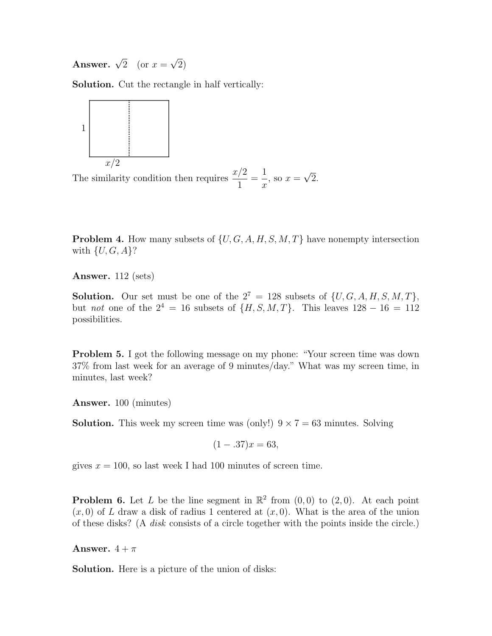**Answer.**  $\sqrt{2}$  (or  $x =$ √ 2)

Solution. Cut the rectangle in half vertically:



The similarity condition then requires  $\frac{x/2}{1}$ 1 = 1  $\overline{x}$ , so  $x =$ √ 2.

**Problem 4.** How many subsets of  $\{U, G, A, H, S, M, T\}$  have nonempty intersection with  $\{U, G, A\}$ ?

Answer. 112 (sets)

**Solution.** Our set must be one of the  $2^7 = 128$  subsets of  $\{U, G, A, H, S, M, T\}$ , but not one of the  $2^4 = 16$  subsets of  $\{H, S, M, T\}$ . This leaves  $128 - 16 = 112$ possibilities.

Problem 5. I got the following message on my phone: "Your screen time was down 37% from last week for an average of 9 minutes/day." What was my screen time, in minutes, last week?

Answer. 100 (minutes)

**Solution.** This week my screen time was (only!)  $9 \times 7 = 63$  minutes. Solving

$$
(1 - .37)x = 63,
$$

gives  $x = 100$ , so last week I had 100 minutes of screen time.

**Problem 6.** Let L be the line segment in  $\mathbb{R}^2$  from  $(0,0)$  to  $(2,0)$ . At each point  $(x, 0)$  of L draw a disk of radius 1 centered at  $(x, 0)$ . What is the area of the union of these disks? (A disk consists of a circle together with the points inside the circle.)

Answer.  $4 + \pi$ 

Solution. Here is a picture of the union of disks: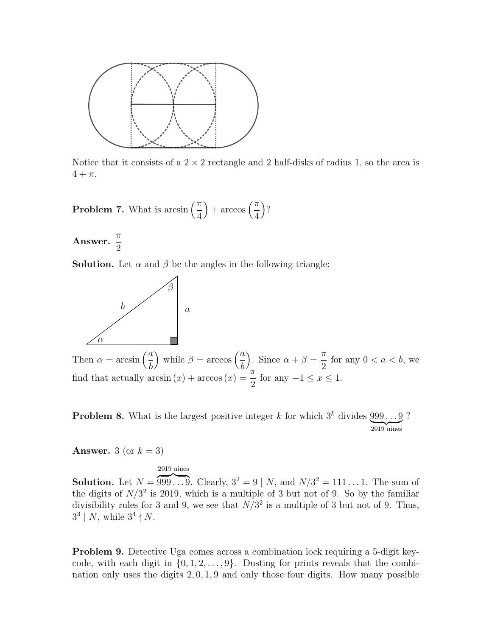

Notice that it consists of a  $2 \times 2$  rectangle and 2 half-disks of radius 1, so the area is  $4 + \pi$ .

**Problem 7.** What is arcsin  $\left(\frac{\pi}{4}\right)$ 4  $+\arccos\left(\frac{\pi}{4}\right)$ 4  $\big)$ ?

Answer.  $\frac{\pi}{2}$ 2

**Solution.** Let  $\alpha$  and  $\beta$  be the angles in the following triangle:



Then  $\alpha = \arcsin\left(\frac{a}{b}\right)$ b ) while  $\beta = \arccos\left(\frac{a}{b}\right)$ b ). Since  $\alpha + \beta =$ π 2 for any  $0 < a < b$ , we find that actually  $arcsin(x) + arccos(x) = \frac{\pi}{2}$ 2 for any  $-1 \leq x \leq 1$ .

**Problem 8.** What is the largest positive integer k for which  $3^k$  divides  $999...9$  $\overline{2019}$  nines ?

**Answer.** 3 (or  $k = 3$ )

2019 nines

**Solution.** Let  $N = 999...$  . . . . Clearly,  $3^2 = 9 \mid N$ , and  $N/3^2 = 111...1$ . The sum of the digits of  $N/3^2$  is 2019, which is a multiple of 3 but not of 9. So by the familiar divisibility rules for 3 and 9, we see that  $N/3^2$  is a multiple of 3 but not of 9. Thus,  $3^3 \mid N$ , while  $3^4 \nmid N$ .

Problem 9. Detective Uga comes across a combination lock requiring a 5-digit keycode, with each digit in  $\{0, 1, 2, \ldots, 9\}$ . Dusting for prints reveals that the combination only uses the digits 2, 0, 1, 9 and only those four digits. How many possible